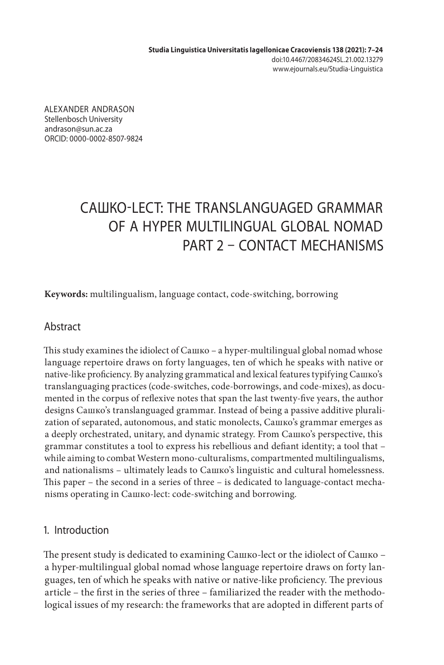**Studia Linguistica Universitatis Iagellonicae Cracoviensis 138 (2021): 7–24** doi:10.4467/20834624SL.21.002.13279 www.ejournals.eu/Studia-Linguistica

ALEXANDER ANDRASON Stellenbosch University andrason@sun.ac.za ORCID: 0000-0002-8507-9824

# САШКО-LECT: THE TRANSLANGUAGED GRAMMAR OF A HYPER MULTILINGUAL GLOBAL NOMAD PART 2 – CONTACT MECHANISMS

**Keywords:** multilingualism, language contact, code-switching, borrowing

## Abstract

This study examines the idiolect of Сашко – a hyper-multilingual global nomad whose language repertoire draws on forty languages, ten of which he speaks with native or native-like proficiency. By analyzing grammatical and lexical features typifying Сашко's translanguaging practices (code-switches, code-borrowings, and code-mixes), as documented in the corpus of reflexive notes that span the last twenty-five years, the author designs Сашко's translanguaged grammar. Instead of being a passive additive pluralization of separated, autonomous, and static monolects, Сашко's grammar emerges as a deeply orchestrated, unitary, and dynamic strategy. From Сашко's perspective, this grammar constitutes a tool to express his rebellious and defiant identity; a tool that – while aiming to combat Western mono-culturalisms, compartmented multilingualisms, and nationalisms – ultimately leads to Сашко's linguistic and cultural homelessness. This paper – the second in a series of three – is dedicated to language-contact mechanisms operating in Сашко-lect: code-switching and borrowing.

## 1. Introduction

The present study is dedicated to examining Сашко-lect or the idiolect of Сашко – a hyper-multilingual global nomad whose language repertoire draws on forty languages, ten of which he speaks with native or native-like proficiency. The previous article – the first in the series of three – familiarized the reader with the methodological issues of my research: the frameworks that are adopted in different parts of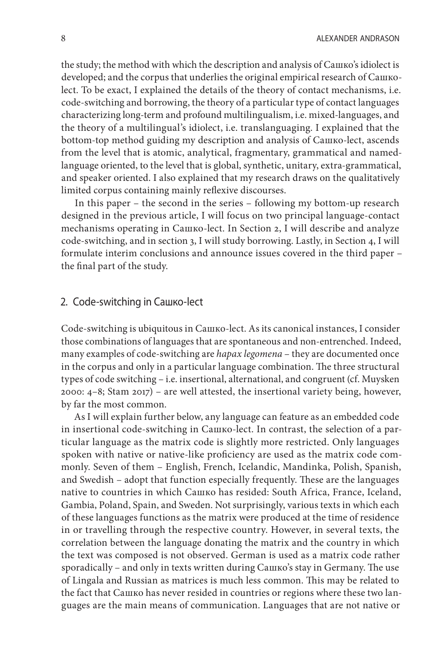the study; the method with which the description and analysis of Сашко's idiolect is developed; and the corpus that underlies the original empirical research of Сашкоlect. To be exact, I explained the details of the theory of contact mechanisms, i.e. code-switching and borrowing, the theory of a particular type of contact languages characterizing long-term and profound multilingualism, i.e. mixed-languages, and the theory of a multilingual's idiolect, i.e. translanguaging. I explained that the bottom-top method guiding my description and analysis of Сашко-lect, ascends from the level that is atomic, analytical, fragmentary, grammatical and namedlanguage oriented, to the level that is global, synthetic, unitary, extra-grammatical, and speaker oriented. I also explained that my research draws on the qualitatively limited corpus containing mainly reflexive discourses.

In this paper – the second in the series – following my bottom-up research designed in the previous article, I will focus on two principal language-contact mechanisms operating in Сашко-lect. In Section 2, I will describe and analyze code-switching, and in section 3, I will study borrowing. Lastly, in Section 4, I will formulate interim conclusions and announce issues covered in the third paper – the final part of the study.

#### 2. Code-switching in Сашко-lect

Code-switching is ubiquitous in Сашко-lect. As its canonical instances, I consider those combinations of languages that are spontaneous and non-entrenched. Indeed, many examples of code-switching are *hapax legomena* – they are documented once in the corpus and only in a particular language combination. The three structural types of code switching – i.e. insertional, alternational, and congruent (cf. Muysken 2000: 4–8; Stam 2017) – are well attested, the insertional variety being, however, by far the most common.

As I will explain further below, any language can feature as an embedded code in insertional code-switching in Сашко-lect. In contrast, the selection of a particular language as the matrix code is slightly more restricted. Only languages spoken with native or native-like proficiency are used as the matrix code commonly. Seven of them – English, French, Icelandic, Mandinka, Polish, Spanish, and Swedish – adopt that function especially frequently. These are the languages native to countries in which Сашко has resided: South Africa, France, Iceland, Gambia, Poland, Spain, and Sweden. Not surprisingly, various texts in which each of these languages functions as the matrix were produced at the time of residence in or travelling through the respective country. However, in several texts, the correlation between the language donating the matrix and the country in which the text was composed is not observed. German is used as a matrix code rather sporadically – and only in texts written during Сашко's stay in Germany. The use of Lingala and Russian as matrices is much less common. This may be related to the fact that Сашко has never resided in countries or regions where these two languages are the main means of communication. Languages that are not native or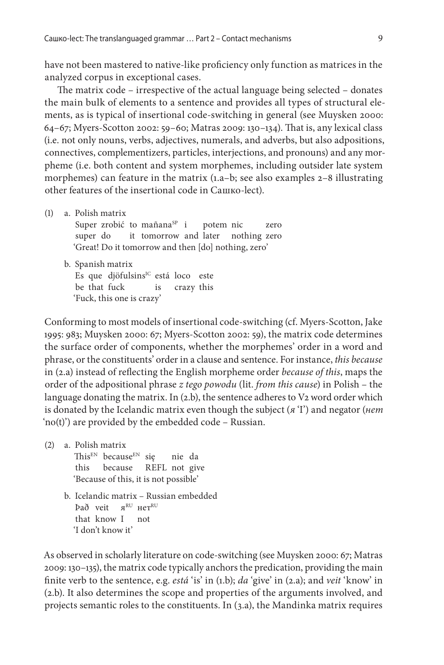have not been mastered to native-like proficiency only function as matrices in the analyzed corpus in exceptional cases.

The matrix code – irrespective of the actual language being selected – donates the main bulk of elements to a sentence and provides all types of structural elements, as is typical of insertional code-switching in general (see Muysken 2000: 64–67; Myers-Scotton 2002: 59–60; Matras 2009: 130–134). That is, any lexical class (i.e. not only nouns, verbs, adjectives, numerals, and adverbs, but also adpositions, connectives, complementizers, particles, interjections, and pronouns) and any morpheme (i.e. both content and system morphemes, including outsider late system morphemes) can feature in the matrix (1.a–b; see also examples 2–8 illustrating other features of the insertional code in Сашко-lect).

(1) a. Polish matrix

Super zrobić to mañana<sup>SP</sup> i potem nic zero super do it tomorrow and later nothing zero 'Great! Do it tomorrow and then [do] nothing, zero'

b. Spanish matrix Es que djöfulsins<sup>IC</sup> está loco este be that fuck is crazy this 'Fuck, this one is crazy'

Conforming to most models of insertional code-switching (cf. Myers-Scotton, Jake 1995: 983; Muysken 2000: 67; Myers-Scotton 2002: 59), the matrix code determines the surface order of components, whether the morphemes' order in a word and phrase, or the constituents' order in a clause and sentence. For instance, *this because* in (2.a) instead of reflecting the English morpheme order *because of this*, maps the order of the adpositional phrase *z tego powodu* (lit. *from this cause*) in Polish – the language donating the matrix. In (2.b), the sentence adheres to V2 word order which is donated by the Icelandic matrix even though the subject (*я* 'I') and negator (*нет* 'no(t)') are provided by the embedded code – Russian.

(2) a. Polish matrix

This<sup>EN</sup> because<sup>EN</sup> się nie da this because REFL not give 'Because of this, it is not possible'

b. Icelandic matrix – Russian embedded Það veit яRU нетRU that know I not 'I don't know it'

As observed in scholarly literature on code-switching (see Muysken 2000: 67; Matras 2009: 130–135), the matrix code typically anchors the predication, providing the main finite verb to the sentence, e.g. *está* 'is' in (1.b); *da* 'give' in (2.a); and *veit* 'know' in (2.b). It also determines the scope and properties of the arguments involved, and projects semantic roles to the constituents. In (3.a), the Mandinka matrix requires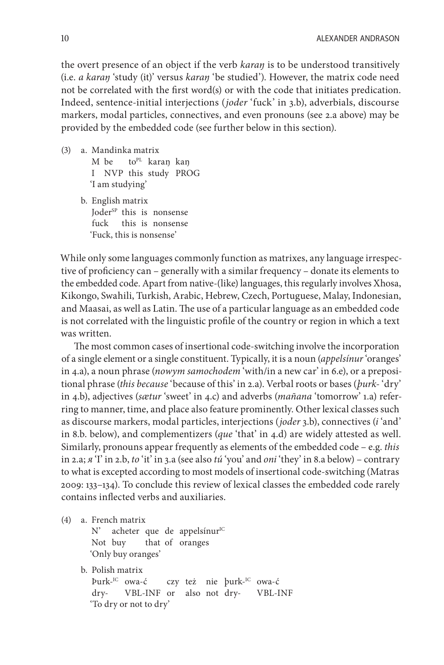the overt presence of an object if the verb *karaŋ* is to be understood transitively (i.e. *a karaŋ* 'study (it)' versus *karaŋ* 'be studied'). However, the matrix code need not be correlated with the first word(s) or with the code that initiates predication. Indeed, sentence-initial interjections (*joder* 'fuck' in 3.b), adverbials, discourse markers, modal particles, connectives, and even pronouns (see 2.a above) may be provided by the embedded code (see further below in this section).

- (3) a. Mandinka matrix M be to<sup>pL</sup> karaŋ kaŋ I NVP this study PROG 'I am studying'
	- b. English matrix Joder<sup>SP</sup> this is nonsense fuck this is nonsense 'Fuck, this is nonsense'

While only some languages commonly function as matrixes, any language irrespective of proficiency can – generally with a similar frequency – donate its elements to the embedded code. Apart from native-(like) languages, this regularly involves Xhosa, Kikongo, Swahili, Turkish, Arabic, Hebrew, Czech, Portuguese, Malay, Indonesian, and Maasai, as well as Latin. The use of a particular language as an embedded code is not correlated with the linguistic profile of the country or region in which a text was written.

The most common cases of insertional code-switching involve the incorporation of a single element or a single constituent. Typically, it is a noun (*appelsínur* 'oranges' in 4.a), a noun phrase (*nowym samochodem* 'with/in a new car' in 6.e), or a prepositional phrase (*this because* 'because of this' in 2.a). Verbal roots or bases (*þurk-* 'dry' in 4.b), adjectives (*sætur* 'sweet' in 4.c) and adverbs (*mañana* 'tomorrow' 1.a) referring to manner, time, and place also feature prominently. Other lexical classes such as discourse markers, modal particles, interjections (*joder* 3.b), connectives (*i* 'and' in 8.b. below), and complementizers (*que* 'that' in 4.d) are widely attested as well. Similarly, pronouns appear frequently as elements of the embedded code – e.g. *this* in 2.a; *я* 'I' in 2.b, *to* 'it' in 3.a (see also *tú* 'you' and *oni* 'they' in 8.a below) – contrary to what is excepted according to most models of insertional code-switching (Matras 2009: 133–134). To conclude this review of lexical classes the embedded code rarely contains inflected verbs and auxiliaries.

(4) a. French matrix

N' acheter que de appelsínur<sup>IC</sup> Not buy that of oranges 'Only buy oranges'

b. Polish matrix Þurk-IC owa-ć czy też nie þurk-IC owa-ć dry- VBL-INF or also not dry- VBL-INF 'To dry or not to dry'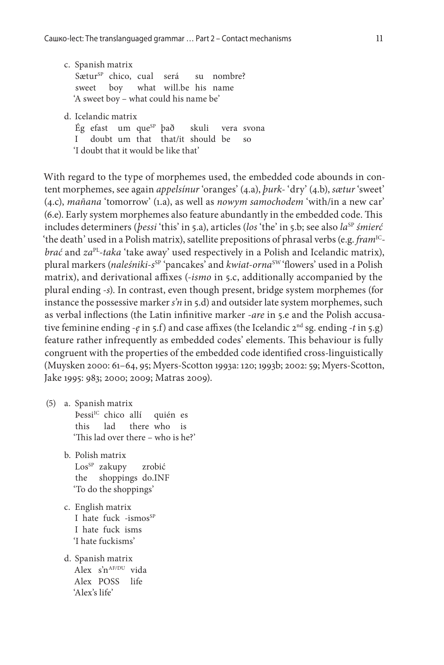- c. Spanish matrix Sætur<sup>sp</sup> chico, cual será su nombre? sweet boy what will.be his name 'A sweet boy – what could his name be'
- d. Icelandic matrix
	- Ég efast um que<sup>sp</sup> það skuli vera svona I doubt um that that/it should be so 'I doubt that it would be like that'

With regard to the type of morphemes used, the embedded code abounds in content morphemes, see again *appelsínur* 'oranges' (4.a), *þurk-* 'dry' (4.b), *sætur* 'sweet' (4.c), *mañana* 'tomorrow' (1.a), as well as *nowym samochodem* 'with/in a new car' (6.e). Early system morphemes also feature abundantly in the embedded code. This includes determiners (*bessi* 'this' in 5.a), articles (los 'the' in 5.b; see also la<sup>SP</sup> *śmierć* 'the death' used in a Polish matrix), satellite prepositions of phrasal verbs (e.g. *fram*<sup>IC</sup>*brać* and *za*PL*-taka* 'take away' used respectively in a Polish and Icelandic matrix), plural markers (naleśniki-s<sup>sp</sup> 'pancakes' and *kwiat-orna*<sup>sw</sup> 'flowers' used in a Polish matrix), and derivational affixes (*-ismo* in 5.c, additionally accompanied by the plural ending *-s*). In contrast, even though present, bridge system morphemes (for instance the possessive marker *s'n* in 5.d) and outsider late system morphemes, such as verbal inflections (the Latin infinitive marker *-are* in 5.e and the Polish accusative feminine ending -*ę* in 5.f) and case affixes (the Icelandic 2<sup>nd</sup> sg. ending -*t* in 5.g) feature rather infrequently as embedded codes' elements. This behaviour is fully congruent with the properties of the embedded code identified cross-linguistically (Muysken 2000: 61–64, 95; Myers-Scotton 1993a: 120; 1993b; 2002: 59; Myers-Scotton, Jake 1995: 983; 2000; 2009; Matras 2009).

- (5) a. Spanish matrix ÞessiIC chico allí quién es this lad there who is 'This lad over there – who is he?'
	- b. Polish matrix Los<sup>SP</sup> zakupy zrobić the shoppings do.INF 'To do the shoppings'
	- c. English matrix I hate fuck  $-i\text{smos}^{SP}$ I hate fuck isms 'I hate fuckisms'
	- d. Spanish matrix Alex  $s^n^{\text{AF/DU}}$  vida Alex POSS life 'Alex's life'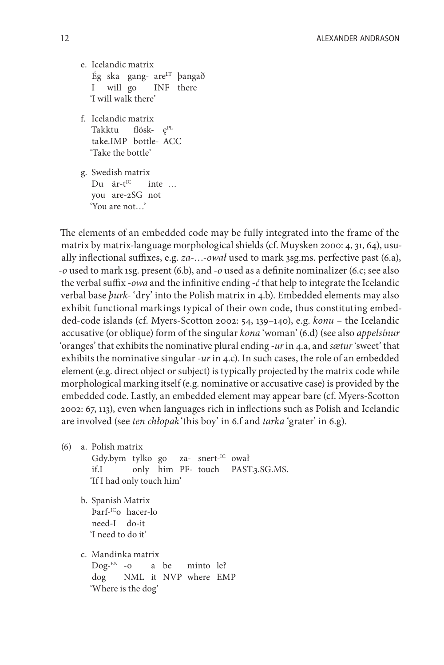e. Icelandic matrix Ég ska gang- are $LT$  þangað I will go INF there 'I will walk there'

f. Icelandic matrix Takktu flösk- e<sup>PL</sup> take.IMP bottle- ACC 'Take the bottle'

g. Swedish matrix Du  $\ddot{a}$ r-t<sup>IC</sup> inte ... you are-2SG not 'You are not…'

The elements of an embedded code may be fully integrated into the frame of the matrix by matrix-language morphological shields (cf. Muysken 2000: 4, 31, 64), usually inflectional suffixes, e.g. *za-*…*-ował* used to mark 3sg.ms. perfective past (6.a), *-o* used to mark 1sg. present (6.b), and *-o* used as a definite nominalizer (6.c; see also the verbal suffix *-owa* and the infinitive ending *-ć* that help to integrate the Icelandic verbal base *þurk-* 'dry' into the Polish matrix in 4.b). Embedded elements may also exhibit functional markings typical of their own code, thus constituting embedded-code islands (cf. Myers-Scotton 2002: 54, 139–140), e.g. *konu* – the Icelandic accusative (or oblique) form of the singular *kona* 'woman' (6.d) (see also *appelsínur* 'oranges' that exhibits the nominative plural ending *-ur* in 4.a, and *sætur* 'sweet' that exhibits the nominative singular *-ur* in 4.c). In such cases, the role of an embedded element (e.g. direct object or subject) is typically projected by the matrix code while morphological marking itself (e.g. nominative or accusative case) is provided by the embedded code. Lastly, an embedded element may appear bare (cf. Myers-Scotton 2002: 67, 113), even when languages rich in inflections such as Polish and Icelandic are involved (see *ten chłopak* 'this boy' in 6.f and *tarka* 'grater' in 6.g).

(6) a. Polish matrix

Gdy.bym tylko go za- snert-IC ował if.I only him PF- touch PAST.3.SG.MS. 'If I had only touch him'

b. Spanish Matrix Þarf-ICo hacer-lo need-I do-it 'I need to do it'

c. Mandinka matrix Dog-EN -o a be minto le? dog NML it NVP where EMP 'Where is the dog'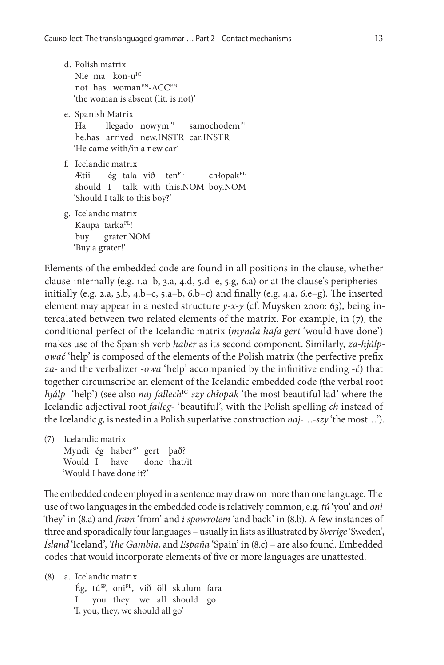- d. Polish matrix Nie ma kon-u<sup>IC</sup> not has womanEN-ACCEN 'the woman is absent (lit. is not)' e. Spanish Matrix
- Ha llegado nowym<sup>PL</sup> samochodem<sup>PL</sup> he.has arrived new.INSTR car.INSTR 'He came with/in a new car'
- f. Icelandic matrix Ætii ég tala við ten<sup>pL</sup> chłopak<sup>pL</sup> should I talk with this.NOM boy.NOM 'Should I talk to this boy?'
- g. Icelandic matrix Kaupa tarka<sup>PL</sup>! buy grater.NOM 'Buy a grater!'

Elements of the embedded code are found in all positions in the clause, whether clause-internally (e.g. 1.a–b, 3.a, 4.d, 5.d–e, 5.g, 6.a) or at the clause's peripheries – initially (e.g. 2.a, 3.b, 4.b–c, 5.a–b, 6.b–c) and finally (e.g. 4.a, 6.e–g). The inserted element may appear in a nested structure *y-x-y* (cf. Muysken 2000: 63), being intercalated between two related elements of the matrix. For example, in (7), the conditional perfect of the Icelandic matrix (*mynda hafa gert* 'would have done') makes use of the Spanish verb *haber* as its second component. Similarly, *za-hjálpować* 'help' is composed of the elements of the Polish matrix (the perfective prefix *za-* and the verbalizer *-owa* 'help' accompanied by the infinitive ending *-ć*) that together circumscribe an element of the Icelandic embedded code (the verbal root *hjálp*-'help') (see also *naj-fallech<sup>IC</sup>-szy chłopak* 'the most beautiful lad' where the Icelandic adjectival root *falleg-* 'beautiful', with the Polish spelling *ch* instead of the Icelandic *g*, is nested in a Polish superlative construction *naj-*…*-szy* 'the most…').

(7) Icelandic matrix Myndi ég haber $^{SP}$ gert það? Would I have done that/it 'Would I have done it?'

The embedded code employed in a sentence may draw on more than one language. The use of two languages in the embedded code is relatively common, e.g. *tú* 'you' and *oni* 'they' in (8.a) and *fram* 'from' and *i spowrotem* 'and back' in (8.b). A few instances of three and sporadically four languages – usually in lists as illustrated by *Sverige* 'Sweden', *Ísland* 'Iceland', *The Gambia*, and *España* 'Spain' in (8.c) – are also found. Embedded codes that would incorporate elements of five or more languages are unattested.

(8) a. Icelandic matrix Ég, tú<sup>sp</sup>, oni<sup>pl</sup>, við öll skulum fara I you they we all should go 'I, you, they, we should all go'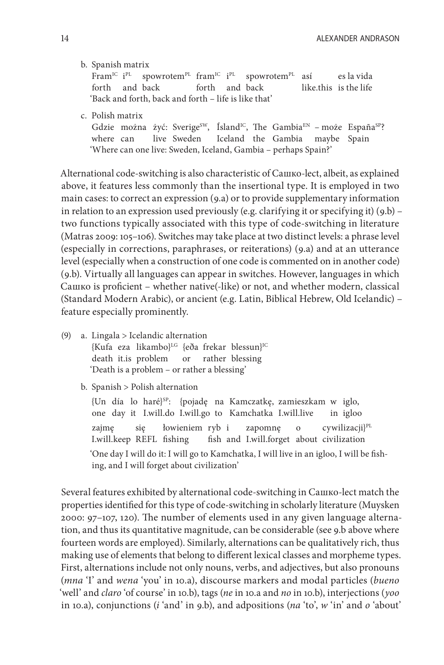b. Spanish matrix

 $Frame^{\text{IC}}$   $i^{\text{PL}}$ <sup>PL</sup> spowrotem<sup>PL</sup> fram<sup>IC</sup> i<sup>PL</sup> spowrotem<sup>PL</sup> así es la vida forth and back forth and back like.this is the life 'Back and forth, back and forth – life is like that'

c. Polish matrix

Gdzie można żyć: Sverige<sup>sw</sup>, Ísland<sup>IC</sup>, The Gambia<sup>EN</sup> – może España<sup>sp</sup>? where can live Sweden Iceland the Gambia maybe Spain 'Where can one live: Sweden, Iceland, Gambia – perhaps Spain?'

Alternational code-switching is also characteristic of Сашко-lect, albeit, as explained above, it features less commonly than the insertional type. It is employed in two main cases: to correct an expression (9.a) or to provide supplementary information in relation to an expression used previously (e.g. clarifying it or specifying it) (9.b) – two functions typically associated with this type of code-switching in literature (Matras 2009: 105–106). Switches may take place at two distinct levels: a phrase level (especially in corrections, paraphrases, or reiterations) (9.a) and at an utterance level (especially when a construction of one code is commented on in another code) (9.b). Virtually all languages can appear in switches. However, languages in which Сашко is proficient – whether native(-like) or not, and whether modern, classical (Standard Modern Arabic), or ancient (e.g. Latin, Biblical Hebrew, Old Icelandic) – feature especially prominently.

(9) a. Lingala > Icelandic alternation {Kufa eza likambo}LG {eða frekar blessun}IC death it.is problem or rather blessing 'Death is a problem – or rather a blessing'

b. Spanish > Polish alternation

{Un día lo haré}SP: {pojadę na Kamczatkę, zamieszkam w iglo, one day it I.will.do I.will.go to Kamchatka I.will.live in igloo zajmę się łowieniem ryb i zapomnę o cywilizacji $I^{\text{PL}}$ I.will.keep REFL fishing fish and I.will.forget about civilization 'One day I will do it: I will go to Kamchatka, I will live in an igloo, I will be fishing, and I will forget about civilization'

Several features exhibited by alternational code-switching in Сашко-lect match the properties identified for this type of code-switching in scholarly literature (Muysken 2000: 97–107, 120). The number of elements used in any given language alternation, and thus its quantitative magnitude, can be considerable (see 9.b above where fourteen words are employed). Similarly, alternations can be qualitatively rich, thus making use of elements that belong to different lexical classes and morpheme types. First, alternations include not only nouns, verbs, and adjectives, but also pronouns (*mna* 'I' and *wena* 'you' in 10.a), discourse markers and modal particles (*bueno* 'well' and *claro* 'of course' in 10.b), tags (*ne* in 10.a and *no* in 10.b), interjections (*yoo* in 10.a), conjunctions (*i* 'and' in 9.b), and adpositions (*na* 'to', *w* 'in' and *o* 'about'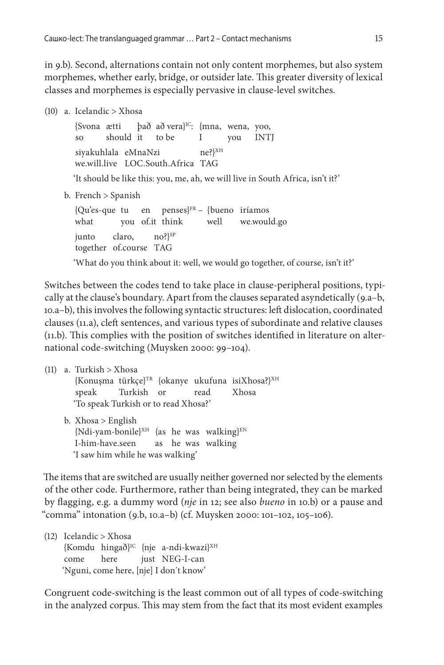in 9.b). Second, alternations contain not only content morphemes, but also system morphemes, whether early, bridge, or outsider late. This greater diversity of lexical classes and morphemes is especially pervasive in clause-level switches.

(10) a. Icelandic > Xhosa

{Svona ætti það að vera}IC: {mna, wena, yoo, so should it to be I you INTJ siyakuhlala eMnaNzi ne? ${}^{\{XH}}$ we.will.live LOC.South.Africa TAG 'It should be like this: you, me, ah, we will live in South Africa, isn't it?'

b. French > Spanish

 ${Qu\text{ }e\text{-}que tu}$  en penses ${F^R}$  – {bueno iríamos what you of.it think well we.would.go  $j$ unto claro, no? $j^{SP}$ together of.course TAG

'What do you think about it: well, we would go together, of course, isn't it?'

Switches between the codes tend to take place in clause-peripheral positions, typically at the clause's boundary. Apart from the clauses separated asyndetically (9.a–b, 10.a–b), this involves the following syntactic structures: left dislocation, coordinated clauses (11.a), cleft sentences, and various types of subordinate and relative clauses (11.b). This complies with the position of switches identified in literature on alternational code-switching (Muysken 2000: 99–104).

(11) a. Turkish > Xhosa  ${Konusma$  türkçe $}^{TR}$  {okanye ukufuna isiXhosa?}<sup>XH</sup> speak Turkish or read Xhosa 'To speak Turkish or to read Xhosa?' b. Xhosa > English  ${Ndi-yan-bonile}^{XH}$  {as he was walking}<sup>EN</sup> I-him-have.seen as he was walking 'I saw him while he was walking'

The items that are switched are usually neither governed nor selected by the elements of the other code. Furthermore, rather than being integrated, they can be marked by flagging, e.g. a dummy word (*nje* in 12; see also *bueno* in 10.b) or a pause and "comma" intonation (9.b, 10.a–b) (cf. Muysken 2000: 101–102, 105–106).

(12) Icelandic > Xhosa  ${Komdu \space hinga\delta}^{\text{IC}}$  {nje a-ndi-kwazi}<sup>XH</sup> come here just NEG-I-can 'Nguni, come here, [nje] I don´t know'

Congruent code-switching is the least common out of all types of code-switching in the analyzed corpus. This may stem from the fact that its most evident examples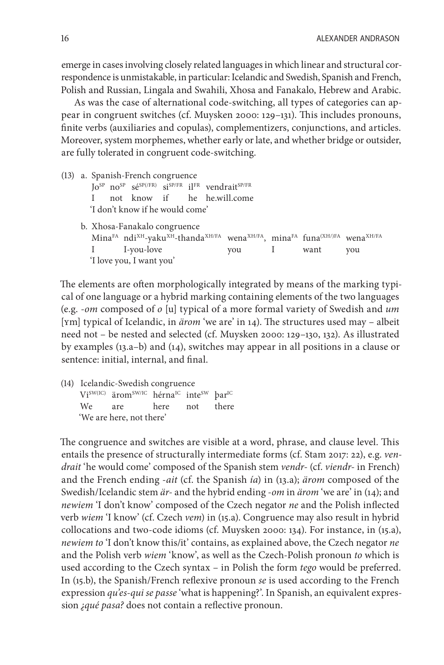emerge in cases involving closely related languages in which linear and structural correspondence is unmistakable, in particular: Icelandic and Swedish, Spanish and French, Polish and Russian, Lingala and Swahili, Xhosa and Fanakalo, Hebrew and Arabic.

As was the case of alternational code-switching, all types of categories can appear in congruent switches (cf. Muysken 2000: 129–131). This includes pronouns, finite verbs (auxiliaries and copulas), complementizers, conjunctions, and articles. Moreover, system morphemes, whether early or late, and whether bridge or outsider, are fully tolerated in congruent code-switching.

(13) a. Spanish-French congruence Jo<sup>SP</sup> no<sup>SP</sup> sé<sup>SP(/FR)</sup> si<sup>SP/FR</sup> il<sup>FR</sup> vendrait<sup>SP/FR</sup> I not know if he he.will.come 'I don't know if he would come' b. Xhosa-Fanakalo congruence MinaFA ndi<sup>XH</sup>-yaku<sup>XH</sup>-thanda<sup>XH/FA</sup> wena<sup>XH/FA</sup>, minaFA funa<sup>(XH/)FA</sup> wena<sup>XH/FA</sup> I I-you-love you I want you 'I love you, I want you'

The elements are often morphologically integrated by means of the marking typical of one language or a hybrid marking containing elements of the two languages (e.g. *-om* composed of *o* [u] typical of a more formal variety of Swedish and *um* [ʏm] typical of Icelandic, in *ärom* 'we are' in 14). The structures used may – albeit need not – be nested and selected (cf. Muysken 2000: 129–130, 132). As illustrated by examples (13.a–b) and (14), switches may appear in all positions in a clause or sentence: initial, internal, and final.

(14) Icelandic-Swedish congruence ViSW(IC) äromSW/IC hérna<sup>IC</sup> inte<sup>SW</sup> bar<sup>IC</sup> We are here not there 'We are here, not there'

The congruence and switches are visible at a word, phrase, and clause level. This entails the presence of structurally intermediate forms (cf. Stam 2017: 22), e.g. *vendrait* 'he would come' composed of the Spanish stem *vendr-* (cf. *viendr-* in French) and the French ending *-ait* (cf. the Spanish *ía*) in (13.a); *ärom* composed of the Swedish/Icelandic stem *är-* and the hybrid ending *-om* in *ärom* 'we are' in (14); and *newiem* 'I don't know' composed of the Czech negator *ne* and the Polish inflected verb *wiem* 'I know' (cf. Czech *vem*) in (15.a). Congruence may also result in hybrid collocations and two-code idioms (cf. Muysken 2000: 134). For instance, in (15.a), *newiem to* 'I don't know this/it' contains, as explained above, the Czech negator *ne* and the Polish verb *wiem* 'know', as well as the Czech-Polish pronoun *to* which is used according to the Czech syntax – in Polish the form *tego* would be preferred. In (15.b), the Spanish/French reflexive pronoun *se* is used according to the French expression *qu'es-qui se passe* 'what is happening?'. In Spanish, an equivalent expression *¿qué pasa?* does not contain a reflective pronoun.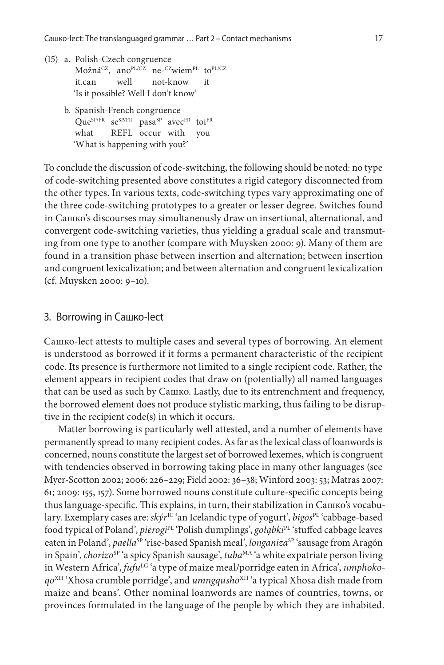- (15) a. Polish-Czech congruence Možná<sup>CZ</sup>, ano<sup>PL/CZ</sup> ne-<sup>CZ</sup>wiem<sup>PL</sup> to<sup>PL/CZ</sup> it.can well not-know it 'Is it possible? Well I don't know'
	- b. Spanish-French congruence  $Oue^{SP/FR}$  se<sup>SP/FR</sup> pasa<sup>SP</sup> avec<sup>FR</sup> toi<sup>FR</sup> what REFL occur with you 'What is happening with you?'

To conclude the discussion of code-switching, the following should be noted: no type of code-switching presented above constitutes a rigid category disconnected from the other types. In various texts, code-switching types vary approximating one of the three code-switching prototypes to a greater or lesser degree. Switches found in Сашко's discourses may simultaneously draw on insertional, alternational, and convergent code-switching varieties, thus yielding a gradual scale and transmuting from one type to another (compare with Muysken 2000: 9). Many of them are found in a transition phase between insertion and alternation; between insertion and congruent lexicalization; and between alternation and congruent lexicalization (cf. Muysken 2000: 9–10).

#### 3. Borrowing in Сашко-lect

Сашко-lect attests to multiple cases and several types of borrowing. An element is understood as borrowed if it forms a permanent characteristic of the recipient code. Its presence is furthermore not limited to a single recipient code. Rather, the element appears in recipient codes that draw on (potentially) all named languages that can be used as such by Сашко. Lastly, due to its entrenchment and frequency, the borrowed element does not produce stylistic marking, thus failing to be disruptive in the recipient code(s) in which it occurs.

Matter borrowing is particularly well attested, and a number of elements have permanently spread to many recipient codes. As far as the lexical class of loanwords is concerned, nouns constitute the largest set of borrowed lexemes, which is congruent with tendencies observed in borrowing taking place in many other languages (see Myer-Scotton 2002; 2006: 226–229; Field 2002: 36–38; Winford 2003: 53; Matras 2007: 61; 2009: 155, 157). Some borrowed nouns constitute culture-specific concepts being thus language-specific. This explains, in turn, their stabilization in Сашко's vocabulary. Exemplary cases are: *skýr<sup>IC</sup>* 'an Icelandic type of yogurt', *bigos*<sup>PL</sup> 'cabbage-based food typical of Poland', *pierogi*<sup>pL</sup> 'Polish dumplings', *gołąbki*<sup>pL</sup> 'stuffed cabbage leaves eaten in Poland', *paella<sup>sp</sup>* 'rise-based Spanish meal', *longaniza*<sup>sp</sup> 'sausage from Aragón in Spain', *chorizo*<sup>SP</sup> 'a spicy Spanish sausage', *tuba*<sup>MA</sup> 'a white expatriate person living in Western Africa', *fufu<sup>LG</sup>* 'a type of maize meal/porridge eaten in Africa', *umphokoqo*XH 'Xhosa crumble porridge', and *umngqusho*XH 'a typical Xhosa dish made from maize and beans'. Other nominal loanwords are names of countries, towns, or provinces formulated in the language of the people by which they are inhabited.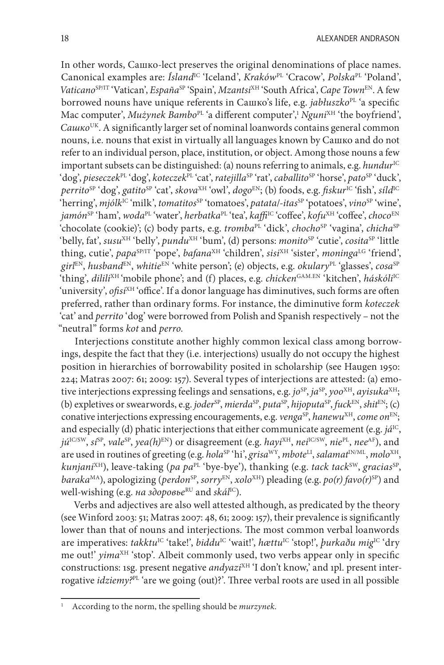In other words, Сашко-lect preserves the original denominations of place names. Canonical examples are: *Ísland*IC 'Iceland', *Kraków*PL 'Cracow', *Polska*PL 'Poland', *Vaticano<sup>SP/IT</sup>* 'Vatican', *España<sup>SP</sup>* 'Spain', *Mzantsi<sup>XH</sup>* 'South Africa', *Cape Town*<sup>EN</sup>. A few borrowed nouns have unique referents in Сашко's life, e.g. *jabłuszko*<sup>PL</sup> 'a specific Mac computer', *Mużynek Bambo<sup>PL</sup>'a* different computer',<sup>1</sup> *Nguni<sup>XH</sup>* 'the boyfriend', *Сашко*UK. A significantly larger set of nominal loanwords contains general common nouns, i.e. nouns that exist in virtually all languages known by Сашко and do not refer to an individual person, place, institution, or object. Among those nouns a few important subsets can be distinguished: (a) nouns referring to animals, e.g. *hundur*<sup>IC</sup> 'dog', *pieseczek*PL 'dog', *koteczek*PL 'cat', *ratejilla*SP 'rat', *caballito*SP 'horse', *pato*SP 'duck', *perrito*SP 'dog', *gatito*SP 'cat', *skova*XH 'owl', *dogo*EN; (b) foods, e.g. *fiskur*IC 'fish', *síld*IC 'herring', *mjólk*<sup>IC</sup> 'milk', *tomatitos*<sup>SP</sup> 'tomatoes', *patata/-itas*<sup>SP</sup> 'potatoes', *vino*<sup>SP</sup> 'wine', *jamón*SP 'ham', *woda*PL 'water', *herbatka*PL 'tea', *kaffi*IC 'coffee', *kofu*XH 'coffee', *choco*EN 'chocolate (cookie)'; (c) body parts, e.g. *tromba*<sup>PL</sup> 'dick', *chocho*<sup>SP</sup> 'vagina', *chicha*<sup>SP</sup> 'belly, fat', *susu<sup>XH</sup>* 'belly', *pundu<sup>XH</sup>* 'bum', (d) persons: *monito*<sup>SP</sup> 'cutie', *cosita*<sup>SP</sup> 'little thing, cutie', papa<sup>SP/IT</sup> 'pope', *bafana*<sup>XH</sup> 'children', *sisi*<sup>XH</sup> 'sister', *moninga*<sup>LG</sup> 'friend',  $girl^{EN}$ , *husband*<sup>EN</sup>, *whitie*<sup>EN</sup> 'white person'; (e) objects, e.g. *okulary*<sup>PL</sup> 'glasses', *cosa*<sup>SP</sup> 'thing', *dilili*<sup>XH</sup>'mobile phone'; and (f) places, e.g. *chicken*<sup>GAM.EN</sup> 'kitchen', *háskóli*<sup>IC</sup> 'university', *ofisi<sup>XH</sup>* 'office'. If a donor language has diminutives, such forms are often preferred, rather than ordinary forms. For instance, the diminutive form *koteczek* 'cat' and *perrito* 'dog' were borrowed from Polish and Spanish respectively – not the "neutral" forms *kot* and *perro*.

Interjections constitute another highly common lexical class among borrowings, despite the fact that they (i.e. interjections) usually do not occupy the highest position in hierarchies of borrowability posited in scholarship (see Haugen 1950: 224; Matras 2007: 61; 2009: 157). Several types of interjections are attested: (a) emotive interjections expressing feelings and sensations, e.g. *jo*<sup>SP</sup>, *ja*<sup>SP</sup>, *yoo*<sup>XH</sup>, *ayisuka*<sup>XH</sup>; (b) expletives or swearwords, e.g. *joder*SP, *mierda*SP, *puta*SP, *hijoputa*SP, *fuck*EN, *shit*EN; (c) conative interjections expressing encouragements, e.g. *venga*<sup>SP</sup>, *hanewu<sup>XH</sup>*, *come* on<sup>EN</sup>; and especially (d) phatic interjections that either communicate agreement (e.g. *já*<sup>IC</sup>, *jú*IC/SW, *sí*SP, *vale*SP, *yea(h)*EN) or disagreement (e.g. *hayi*XH, *nei*IC/SW, *nie*PL, *nee*AF), and are used in routines of greeting (e.g. *hola*<sup>SP</sup> 'hi', *grisa*<sup>WY</sup>, *mbote*<sup>LI</sup>, *salamat*<sup>IN/ML</sup>, *molo*<sup>XH</sup>, *kunjani*<sup>XH</sup>), leave-taking (*pa pa*<sup>PL</sup> 'bye-bye'), thanking (e.g. *tack tack*<sup>SW</sup>, *gracias*<sup>SP</sup>, *baraka*<sup>MA</sup>), apologizing (*perdon*<sup>SP</sup>, *sorry*<sup>EN</sup>, *xolo*<sup>XH</sup>) pleading (e.g. *po(r)* favo(r)<sup>SP</sup>) and well-wishing (e.g. *на здоровье*<sup>RU</sup> and *skál*<sup>IC</sup>).

Verbs and adjectives are also well attested although, as predicated by the theory (see Winford 2003: 51; Matras 2007: 48, 61; 2009: 157), their prevalence is significantly lower than that of nouns and interjections. The most common verbal loanwords are imperatives: *takktu*IC 'take!', *biddu*IC 'wait!', *hættu*IC 'stop!', *þurkaðu mig*IC 'dry me out!' *yima*<sup>XH</sup> 'stop'. Albeit commonly used, two verbs appear only in specific constructions: 1sg. present negative *andyazi*<sup>XH</sup> 'I don't know,' and 1pl. present interrogative *idziemy?*PL 'are we going (out)?'. Three verbal roots are used in all possible

<sup>1</sup> According to the norm, the spelling should be *murzynek*.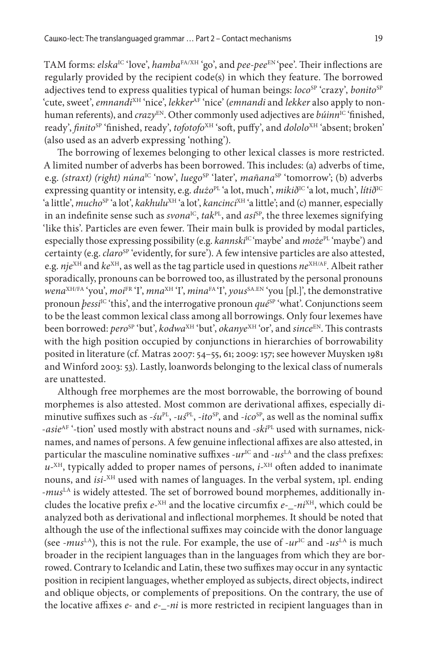TAM forms: *elska*<sup>IC</sup> 'love', *hamba*<sup>FA/XH</sup> 'go', and *pee-pee*<sup>EN</sup> 'pee'. Their inflections are regularly provided by the recipient code(s) in which they feature. The borrowed adjectives tend to express qualities typical of human beings: *loco*<sup>SP</sup> 'crazy', *bonito*<sup>SP</sup> 'cute, sweet', *emnandi*XH 'nice', *lekker*AF 'nice' (*emnandi* and *lekker* also apply to nonhuman referents), and *crazy*<sup>EN</sup>. Other commonly used adjectives are *búinn*<sup>IC</sup> 'finished, ready', *finito*<sup>SP</sup> 'finished, ready', *tofotofo*<sup>XH</sup> 'soft, puffy', and *dololo*<sup>XH</sup> 'absent; broken' (also used as an adverb expressing 'nothing').

The borrowing of lexemes belonging to other lexical classes is more restricted. A limited number of adverbs has been borrowed. This includes: (a) adverbs of time, e.g. *(straxt) (right) núna<sup>IC</sup>* 'now', *luego*<sup>SP</sup> 'later', *mañana*<sup>SP</sup> 'tomorrow'; (b) adverbs expressing quantity or intensity, e.g.  $du\dot{z}o^{\text{PL}}$ 'a lot, much',  $miki\delta^{\text{IC}}$ 'a lot, much', *líti* $\delta^{\text{IC}}$ 'a little', *mucho*<sup>SP</sup> 'a lot', *kakhulu<sup>XH</sup>* 'a lot', *kancinci<sup>XH</sup>* 'a little'; and (c) manner, especially in an indefinite sense such as  $svona^{IC}$ ,  $tak^{PL}$ , and  $as^{SP}$ , the three lexemes signifying 'like this'. Particles are even fewer. Their main bulk is provided by modal particles, especially those expressing possibility (e.g. *kannski*<sup>IC</sup>'maybe' and *może*<sup>PL</sup>'maybe') and certainty (e.g. *claro<sup>SP</sup>* 'evidently, for sure'). A few intensive particles are also attested, e.g. *nje*<sup>XH</sup> and *ke*<sup>XH</sup>, as well as the tag particle used in questions *ne*<sup>XH/AF</sup>. Albeit rather sporadically, pronouns can be borrowed too, as illustrated by the personal pronouns *wena*XH/FA 'you', *moi*FR 'I', *mna*XH 'I', *mina*FA 'I', *yous*SA.EN 'you [pl.]', the demonstrative pronoun *þessi*<sup>IC</sup> 'this', and the interrogative pronoun *qué*<sup>SP</sup> 'what'. Conjunctions seem to be the least common lexical class among all borrowings. Only four lexemes have been borrowed: *pero*<sup>SP</sup> 'but', *kodwa*<sup>XH</sup> 'but', *okanye*<sup>XH</sup> 'or', and *since*<sup>EN</sup>. This contrasts with the high position occupied by conjunctions in hierarchies of borrowability posited in literature (cf. Matras 2007: 54–55, 61; 2009: 157; see however Muysken 1981 and Winford 2003: 53). Lastly, loanwords belonging to the lexical class of numerals are unattested.

Although free morphemes are the most borrowable, the borrowing of bound morphemes is also attested. Most common are derivational affixes, especially diminutive suffixes such as  $-5u^{PL}$ ,  $-u5^{PL}$ ,  $-ito^{SP}$ , and  $-ico^{SP}$ , as well as the nominal suffix *-asie*AF '-tion' used mostly with abstract nouns and *-ski*PL used with surnames, nicknames, and names of persons. A few genuine inflectional affixes are also attested, in particular the masculine nominative suffixes *-ur*<sup>IC</sup> and *-us*<sup>LA</sup> and the class prefixes:  $u$ <sup>XH</sup>, typically added to proper names of persons,  $i$ <sup>XH</sup> often added to inanimate nouns, and *isi-*XH used with names of languages. In the verbal system, 1pl. ending -mus<sup>LA</sup> is widely attested. The set of borrowed bound morphemes, additionally includes the locative prefix *e-*XH and the locative circumfix *e-\_-ni*XH, which could be analyzed both as derivational and inflectional morphemes. It should be noted that although the use of the inflectional suffixes may coincide with the donor language (see *-mus*<sup>LA</sup>), this is not the rule. For example, the use of *-ur*<sup>IC</sup> and *-us*<sup>LA</sup> is much broader in the recipient languages than in the languages from which they are borrowed. Contrary to Icelandic and Latin, these two suffixes may occur in any syntactic position in recipient languages, whether employed as subjects, direct objects, indirect and oblique objects, or complements of prepositions. On the contrary, the use of the locative affixes *e-* and *e-\_-ni* is more restricted in recipient languages than in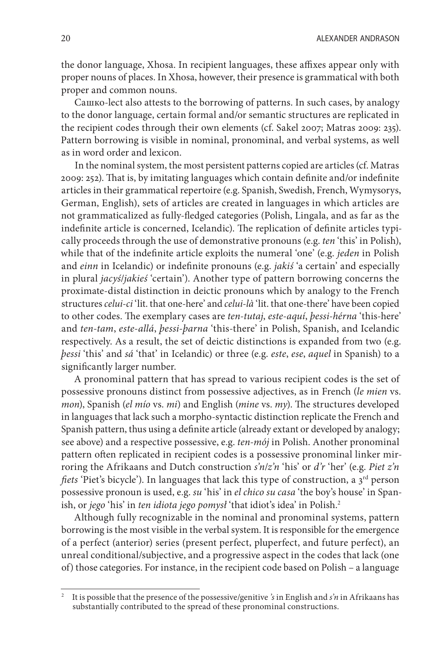20 **ALEXANDER ANDRASON** 

the donor language, Xhosa. In recipient languages, these affixes appear only with proper nouns of places. In Xhosa, however, their presence is grammatical with both proper and common nouns.

Сашко-lect also attests to the borrowing of patterns. In such cases, by analogy to the donor language, certain formal and/or semantic structures are replicated in the recipient codes through their own elements (cf. Sakel 2007; Matras 2009: 235). Pattern borrowing is visible in nominal, pronominal, and verbal systems, as well as in word order and lexicon.

In the nominal system, the most persistent patterns copied are articles (cf. Matras 2009: 252). That is, by imitating languages which contain definite and/or indefinite articles in their grammatical repertoire (e.g. Spanish, Swedish, French, Wymysorys, German, English), sets of articles are created in languages in which articles are not grammaticalized as fully-fledged categories (Polish, Lingala, and as far as the indefinite article is concerned, Icelandic). The replication of definite articles typically proceeds through the use of demonstrative pronouns (e.g. *ten* 'this' in Polish), while that of the indefinite article exploits the numeral 'one' (e.g. *jeden* in Polish and *einn* in Icelandic) or indefinite pronouns (e.g. *jakiś* 'a certain' and especially in plural *jacyś*/*jakieś* 'certain'). Another type of pattern borrowing concerns the proximate-distal distinction in deictic pronouns which by analogy to the French structures *celui-ci* 'lit. that one-here' and *celui-là* 'lit. that one-there' have been copied to other codes. The exemplary cases are *ten-tutaj*, *este-aquí*, *þessi-hérna* 'this-here' and *ten-tam*, *este-allá*, *þessi-þarna* 'this-there' in Polish, Spanish, and Icelandic respectively. As a result, the set of deictic distinctions is expanded from two (e.g. *þessi* 'this' and *sá* 'that' in Icelandic) or three (e.g. *este*, *ese*, *aquel* in Spanish) to a significantly larger number.

A pronominal pattern that has spread to various recipient codes is the set of possessive pronouns distinct from possessive adjectives, as in French (*le mien* vs. *mon*), Spanish (*el mío* vs. *mi*) and English (*mine* vs. *my*). The structures developed in languages that lack such a morpho-syntactic distinction replicate the French and Spanish pattern, thus using a definite article (already extant or developed by analogy; see above) and a respective possessive, e.g. *ten-mój* in Polish. Another pronominal pattern often replicated in recipient codes is a possessive pronominal linker mirroring the Afrikaans and Dutch construction *s'n*/*z'n* 'his' or *d'r* 'her' (e.g. *Piet z'n fiets* 'Piet's bicycle'). In languages that lack this type of construction, a 3<sup>rd</sup> person possessive pronoun is used, e.g. *su* 'his' in *el chico su casa* 'the boy's house' in Spanish, or *jego* 'his' in *ten idiota jego pomysł* 'that idiot's idea' in Polish.2

Although fully recognizable in the nominal and pronominal systems, pattern borrowing is the most visible in the verbal system. It is responsible for the emergence of a perfect (anterior) series (present perfect, pluperfect, and future perfect), an unreal conditional/subjective, and a progressive aspect in the codes that lack (one of) those categories. For instance, in the recipient code based on Polish – a language

<sup>2</sup> It is possible that the presence of the possessive/genitive *'s* in English and *s'n* in Afrikaans has substantially contributed to the spread of these pronominal constructions.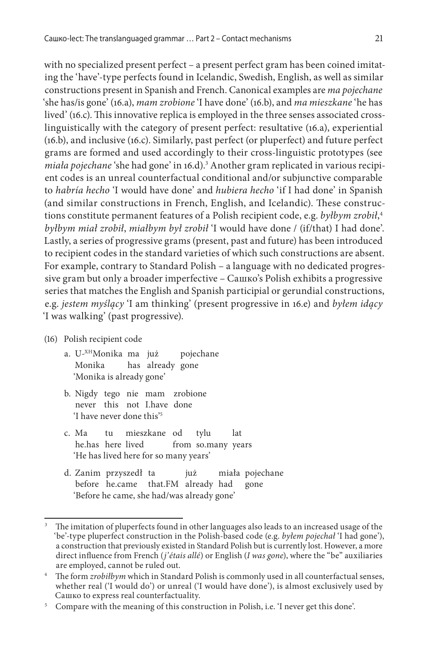with no specialized present perfect – a present perfect gram has been coined imitating the 'have'-type perfects found in Icelandic, Swedish, English, as well as similar constructions present in Spanish and French. Canonical examples are *ma pojechane* 'she has/is gone' (16.a), *mam zrobione* 'I have done' (16.b), and *ma mieszkane* 'he has lived' (16.c). This innovative replica is employed in the three senses associated crosslinguistically with the category of present perfect: resultative (16.a), experiential (16.b), and inclusive (16.c). Similarly, past perfect (or pluperfect) and future perfect grams are formed and used accordingly to their cross-linguistic prototypes (see *miała pojechane* 'she had gone' in 16.d).3 Another gram replicated in various recipient codes is an unreal counterfactual conditional and/or subjunctive comparable to *habría hecho* 'I would have done' and *hubiera hecho* 'if I had done' in Spanish (and similar constructions in French, English, and Icelandic). These constructions constitute permanent features of a Polish recipient code, e.g. *byłbym zrobił*, 4 *byłbym miał zrobił*, *miałbym był zrobił* 'I would have done / (if/that) I had done'. Lastly, a series of progressive grams (present, past and future) has been introduced to recipient codes in the standard varieties of which such constructions are absent. For example, contrary to Standard Polish – a language with no dedicated progressive gram but only a broader imperfective – Сашко's Polish exhibits a progressive series that matches the English and Spanish participial or gerundial constructions, e.g. *jestem myślący* 'I am thinking' (present progressive in 16.e) and *byłem idący* 'I was walking' (past progressive).

#### (16) Polish recipient code

- a. U-XHMonika ma już pojechane Monika has already gone 'Monika is already gone'
- b. Nigdy tego nie mam zrobione never this not I.have done 'I have never done this'5
- c. Ma tu mieszkane od tylu lat he.has here lived from so.many years 'He has lived here for so many years'
- d. Zanim przyszedł ta już miała pojechane before he.came that.FM already had gone 'Before he came, she had/was already gone'

<sup>&</sup>lt;sup>3</sup> The imitation of pluperfects found in other languages also leads to an increased usage of the 'be'-type pluperfect construction in the Polish-based code (e.g. *byłem pojechał* 'I had gone'), a construction that previously existed in Standard Polish but is currently lost. However, a more direct influence from French (*j'étais allé*) or English (*I was gone*), where the "be" auxiliaries are employed, cannot be ruled out. 4 The form *zrobiłbym* which in Standard Polish is commonly used in all counterfactual senses,

whether real ('I would do') or unreal ('I would have done'), is almost exclusively used by Camko to express real counterfactuality.

 $5$  Compare with the meaning of this construction in Polish, i.e. 'I never get this done'.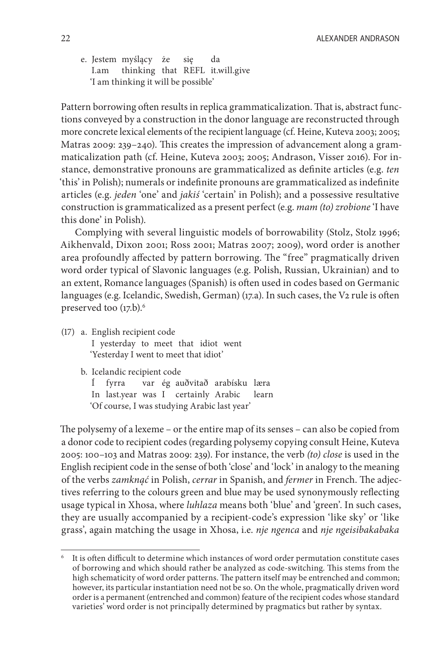e. Jestem myślący że się da I.am thinking that REFL it.will.give 'I am thinking it will be possible'

Pattern borrowing often results in replica grammaticalization. That is, abstract functions conveyed by a construction in the donor language are reconstructed through more concrete lexical elements of the recipient language (cf. Heine, Kuteva 2003; 2005; Matras 2009: 239–240). This creates the impression of advancement along a grammaticalization path (cf. Heine, Kuteva 2003; 2005; Andrason, Visser 2016). For instance, demonstrative pronouns are grammaticalized as definite articles (e.g. *ten* 'this' in Polish); numerals or indefinite pronouns are grammaticalized as indefinite articles (e.g. *jeden* 'one' and *jakiś* 'certain' in Polish); and a possessive resultative construction is grammaticalized as a present perfect (e.g. *mam (to) zrobione* 'I have this done' in Polish).

Complying with several linguistic models of borrowability (Stolz, Stolz 1996; Aikhenvald, Dixon 2001; Ross 2001; Matras 2007; 2009), word order is another area profoundly affected by pattern borrowing. The "free" pragmatically driven word order typical of Slavonic languages (e.g. Polish, Russian, Ukrainian) and to an extent, Romance languages (Spanish) is often used in codes based on Germanic languages (e.g. Icelandic, Swedish, German) (17.a). In such cases, the V2 rule is often preserved too (17.b).<sup>6</sup>

(17) a. English recipient code I yesterday to meet that idiot went 'Yesterday I went to meet that idiot'

b. Icelandic recipient code

Í fyrra var ég auðvitað arabísku læra In last.year was I certainly Arabic learn 'Of course, I was studying Arabic last year'

The polysemy of a lexeme – or the entire map of its senses – can also be copied from a donor code to recipient codes (regarding polysemy copying consult Heine, Kuteva 2005: 100–103 and Matras 2009: 239). For instance, the verb *(to) close* is used in the English recipient code in the sense of both 'close' and 'lock' in analogy to the meaning of the verbs *zamknąć* in Polish, *cerrar* in Spanish, and *fermer* in French. The adjectives referring to the colours green and blue may be used synonymously reflecting usage typical in Xhosa, where *luhlaza* means both 'blue' and 'green'. In such cases, they are usually accompanied by a recipient-code's expression 'like sky' or 'like grass', again matching the usage in Xhosa, i.e. *nje ngenca* and *nje ngeisibakabaka* 

<sup>6</sup> It is often difficult to determine which instances of word order permutation constitute cases of borrowing and which should rather be analyzed as code-switching. This stems from the high schematicity of word order patterns. The pattern itself may be entrenched and common; however, its particular instantiation need not be so. On the whole, pragmatically driven word order is a permanent (entrenched and common) feature of the recipient codes whose standard varieties' word order is not principally determined by pragmatics but rather by syntax.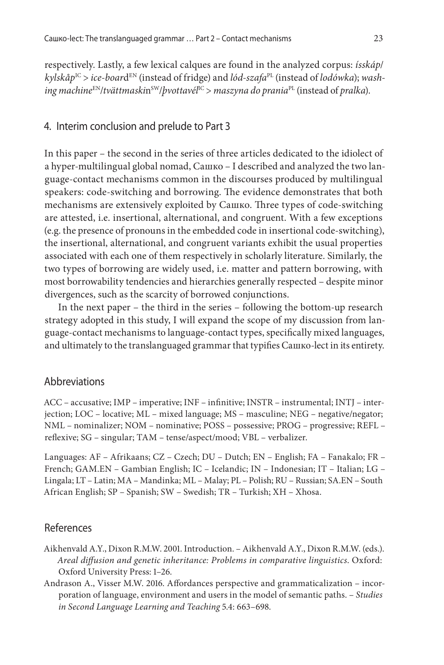respectively. Lastly, a few lexical calques are found in the analyzed corpus: *ísskáp*/ *kylskåp*IC > *ice-boar*dEN (instead of fridge) and *lód-szafa*PL (instead of *lodówka*); *washing machine*EN/*tvättmaski*nSW/*þvottavél*IC > *maszyna do prania*PL (instead of *pralka*).

#### 4. Interim conclusion and prelude to Part 3

In this paper – the second in the series of three articles dedicated to the idiolect of a hyper-multilingual global nomad, Сашко – I described and analyzed the two language-contact mechanisms common in the discourses produced by multilingual speakers: code-switching and borrowing. The evidence demonstrates that both mechanisms are extensively exploited by Сашко. Three types of code-switching are attested, i.e. insertional, alternational, and congruent. With a few exceptions (e.g. the presence of pronouns in the embedded code in insertional code-switching), the insertional, alternational, and congruent variants exhibit the usual properties associated with each one of them respectively in scholarly literature. Similarly, the two types of borrowing are widely used, i.e. matter and pattern borrowing, with most borrowability tendencies and hierarchies generally respected – despite minor divergences, such as the scarcity of borrowed conjunctions.

In the next paper – the third in the series – following the bottom-up research strategy adopted in this study, I will expand the scope of my discussion from language-contact mechanisms to language-contact types, specifically mixed languages, and ultimately to the translanguaged grammar that typifies Сашко-lect in its entirety.

#### **Abbreviations**

ACC – accusative; IMP – imperative; INF – infinitive; INSTR – instrumental; INTJ – interjection; LOC – locative; ML – mixed language; MS – masculine; NEG – negative/negator; NML – nominalizer; NOM – nominative; POSS – possessive; PROG – progressive; REFL – reflexive; SG – singular; TAM – tense/aspect/mood; VBL – verbalizer.

Languages: AF – Afrikaans; CZ – Czech; DU – Dutch; EN – English; FA – Fanakalo; FR – French; GAM.EN – Gambian English; IC – Icelandic; IN – Indonesian; IT – Italian; LG – Lingala; LT – Latin; MA – Mandinka; ML – Malay; PL – Polish; RU – Russian; SA.EN – South African English; SP – Spanish; SW – Swedish; TR – Turkish; XH – Xhosa.

### References

- Aikhenvald A.Y., Dixon R.M.W. 2001. Introduction. Aikhenvald A.Y., Dixon R.M.W. (eds.). *Areal diffusion and genetic inheritance: Problems in comparative linguistics*. Oxford: Oxford University Press: 1–26.
- Andrason A., Visser M.W. 2016. Affordances perspective and grammaticalization incorporation of language, environment and users in the model of semantic paths. – *Studies in Second Language Learning and Teaching* 5.4: 663–698.